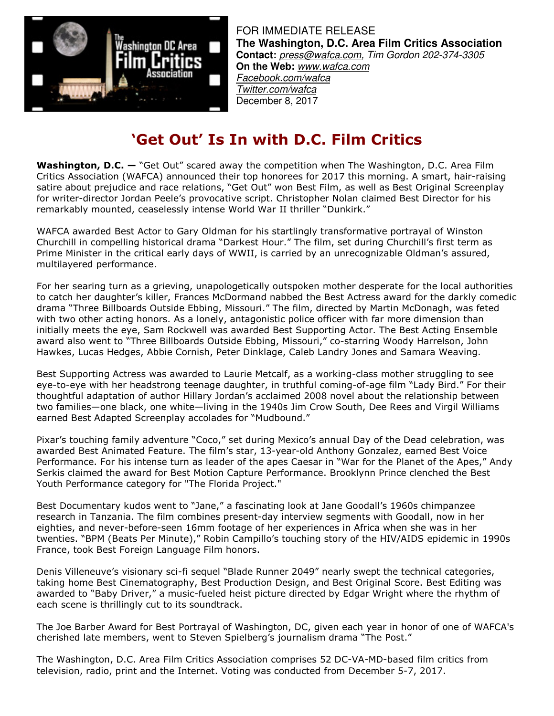

FOR IMMEDIATE RELEASE **The Washington, D.C. Area Film Critics Association Contact:** press@wafca.com, Tim Gordon 202-374-3305 **On the Web:** www.wafca.com Facebook.com/wafca Twitter.com/wafca December 8, 2017

# **'Get Out' Is In with D.C. Film Critics**

**Washington, D.C. —** "Get Out" scared away the competition when The Washington, D.C. Area Film Critics Association (WAFCA) announced their top honorees for 2017 this morning. A smart, hair-raising satire about prejudice and race relations, "Get Out" won Best Film, as well as Best Original Screenplay for writer-director Jordan Peele's provocative script. Christopher Nolan claimed Best Director for his remarkably mounted, ceaselessly intense World War II thriller "Dunkirk."

WAFCA awarded Best Actor to Gary Oldman for his startlingly transformative portrayal of Winston Churchill in compelling historical drama "Darkest Hour." The film, set during Churchill's first term as Prime Minister in the critical early days of WWII, is carried by an unrecognizable Oldman's assured, multilayered performance.

For her searing turn as a grieving, unapologetically outspoken mother desperate for the local authorities to catch her daughter's killer, Frances McDormand nabbed the Best Actress award for the darkly comedic drama "Three Billboards Outside Ebbing, Missouri." The film, directed by Martin McDonagh, was feted with two other acting honors. As a lonely, antagonistic police officer with far more dimension than initially meets the eye, Sam Rockwell was awarded Best Supporting Actor. The Best Acting Ensemble award also went to "Three Billboards Outside Ebbing, Missouri," co-starring Woody Harrelson, John Hawkes, Lucas Hedges, Abbie Cornish, Peter Dinklage, Caleb Landry Jones and Samara Weaving.

Best Supporting Actress was awarded to Laurie Metcalf, as a working-class mother struggling to see eye-to-eye with her headstrong teenage daughter, in truthful coming-of-age film "Lady Bird." For their thoughtful adaptation of author Hillary Jordan's acclaimed 2008 novel about the relationship between two families—one black, one white—living in the 1940s Jim Crow South, Dee Rees and Virgil Williams earned Best Adapted Screenplay accolades for "Mudbound."

Pixar's touching family adventure "Coco," set during Mexico's annual Day of the Dead celebration, was awarded Best Animated Feature. The film's star, 13-year-old Anthony Gonzalez, earned Best Voice Performance. For his intense turn as leader of the apes Caesar in "War for the Planet of the Apes," Andy Serkis claimed the award for Best Motion Capture Performance. Brooklynn Prince clenched the Best Youth Performance category for "The Florida Project."

Best Documentary kudos went to "Jane," a fascinating look at Jane Goodall's 1960s chimpanzee research in Tanzania. The film combines present-day interview segments with Goodall, now in her eighties, and never-before-seen 16mm footage of her experiences in Africa when she was in her twenties. "BPM (Beats Per Minute)," Robin Campillo's touching story of the HIV/AIDS epidemic in 1990s France, took Best Foreign Language Film honors.

Denis Villeneuve's visionary sci-fi sequel "Blade Runner 2049" nearly swept the technical categories, taking home Best Cinematography, Best Production Design, and Best Original Score. Best Editing was awarded to "Baby Driver," a music-fueled heist picture directed by Edgar Wright where the rhythm of each scene is thrillingly cut to its soundtrack.

The Joe Barber Award for Best Portrayal of Washington, DC, given each year in honor of one of WAFCA's cherished late members, went to Steven Spielberg's journalism drama "The Post."

The Washington, D.C. Area Film Critics Association comprises 52 DC-VA-MD-based film critics from television, radio, print and the Internet. Voting was conducted from December 5-7, 2017.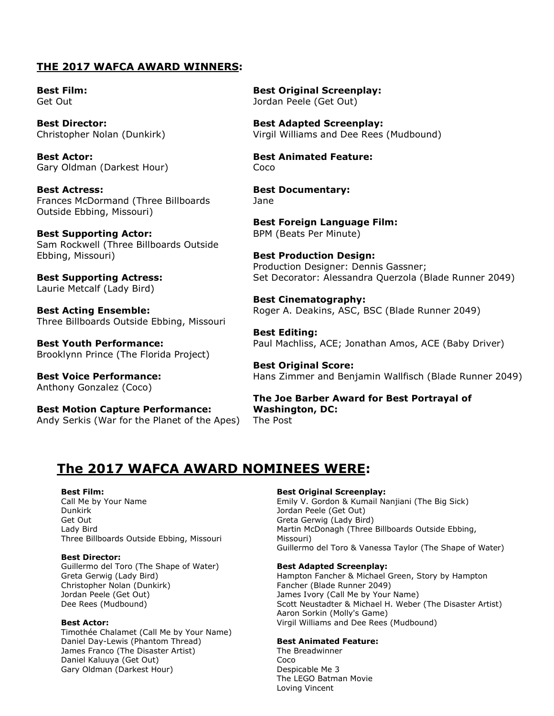### **THE 2017 WAFCA AWARD WINNERS:**

**Best Film:** Get Out

**Best Director:** Christopher Nolan (Dunkirk)

**Best Actor:** Gary Oldman (Darkest Hour)

**Best Actress:** Frances McDormand (Three Billboards Outside Ebbing, Missouri)

**Best Supporting Actor:** Sam Rockwell (Three Billboards Outside Ebbing, Missouri)

**Best Supporting Actress:** Laurie Metcalf (Lady Bird)

**Best Acting Ensemble:** Three Billboards Outside Ebbing, Missouri

**Best Youth Performance:** Brooklynn Prince (The Florida Project)

**Best Voice Performance:** Anthony Gonzalez (Coco)

**Best Motion Capture Performance:** Andy Serkis (War for the Planet of the Apes) **Best Original Screenplay:** Jordan Peele (Get Out)

**Best Adapted Screenplay:** Virgil Williams and Dee Rees (Mudbound)

**Best Animated Feature:** Coco

**Best Documentary:** Jane

**Best Foreign Language Film:** BPM (Beats Per Minute)

**Best Production Design:** Production Designer: Dennis Gassner; Set Decorator: Alessandra Querzola (Blade Runner 2049)

**Best Cinematography:** Roger A. Deakins, ASC, BSC (Blade Runner 2049)

**Best Editing:** Paul Machliss, ACE; Jonathan Amos, ACE (Baby Driver)

**Best Original Score:** Hans Zimmer and Benjamin Wallfisch (Blade Runner 2049)

**The Joe Barber Award for Best Portrayal of Washington, DC:** The Post

## **The 2017 WAFCA AWARD NOMINEES WERE:**

#### **Best Film:**

Call Me by Your Name Dunkirk Get Out Lady Bird Three Billboards Outside Ebbing, Missouri

#### **Best Director:**

Guillermo del Toro (The Shape of Water) Greta Gerwig (Lady Bird) Christopher Nolan (Dunkirk) Jordan Peele (Get Out) Dee Rees (Mudbound)

#### **Best Actor:**

Timothée Chalamet (Call Me by Your Name) Daniel Day-Lewis (Phantom Thread) James Franco (The Disaster Artist) Daniel Kaluuya (Get Out) Gary Oldman (Darkest Hour)

#### **Best Original Screenplay:**

Emily V. Gordon & Kumail Nanjiani (The Big Sick) Jordan Peele (Get Out) Greta Gerwig (Lady Bird) Martin McDonagh (Three Billboards Outside Ebbing, Missouri) Guillermo del Toro & Vanessa Taylor (The Shape of Water)

#### **Best Adapted Screenplay:**

Hampton Fancher & Michael Green, Story by Hampton Fancher (Blade Runner 2049) James Ivory (Call Me by Your Name) Scott Neustadter & Michael H. Weber (The Disaster Artist) Aaron Sorkin (Molly's Game) Virgil Williams and Dee Rees (Mudbound)

#### **Best Animated Feature:**

The Breadwinner Coco Despicable Me 3 The LEGO Batman Movie Loving Vincent